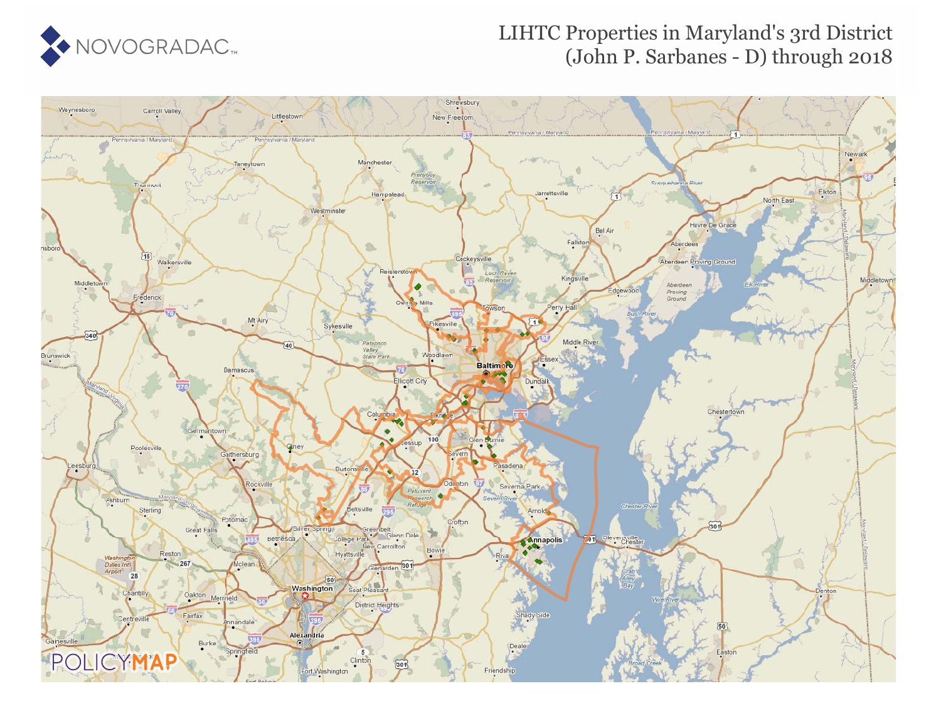

## LIHTC Properties in Maryland's 3rd District (John P. Sarbanes - D) through 2018

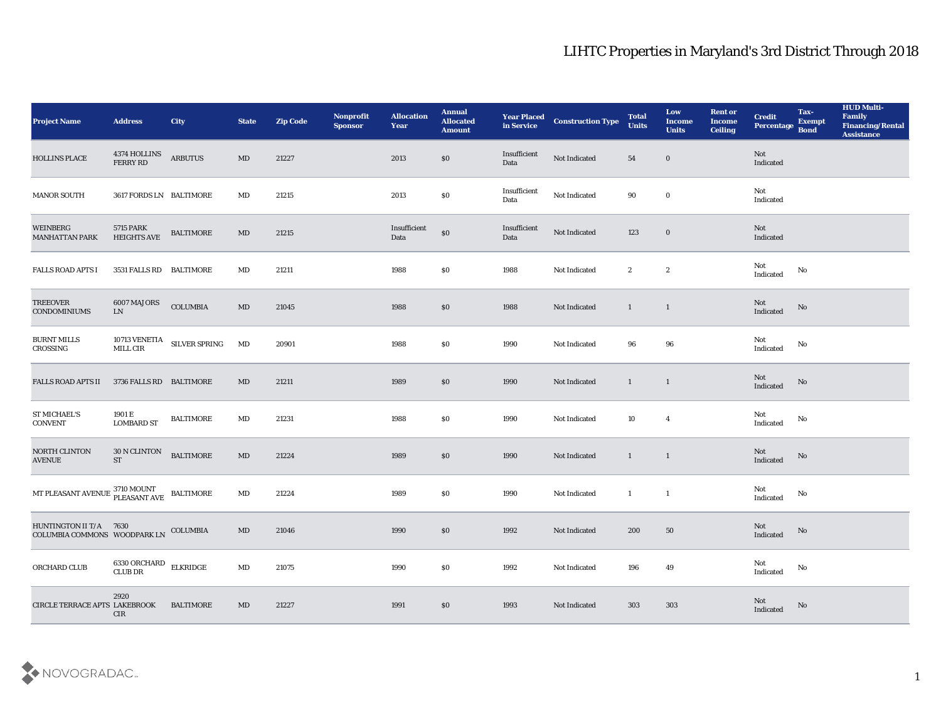## LIHTC Properties in Maryland's 3rd District Through 2018

| <b>Project Name</b>                                                                                                                                                                   | <b>Address</b>                          | <b>City</b>                                    | <b>State</b>           | <b>Zip Code</b> | Nonprofit<br><b>Sponsor</b> | <b>Allocation</b><br><b>Year</b> | <b>Annual</b><br><b>Allocated</b><br><b>Amount</b> | <b>Year Placed<br/>in Service</b> | <b>Construction Type</b> | <b>Total</b><br><b>Units</b> | Low<br><b>Income</b><br><b>Units</b> | <b>Rent or</b><br><b>Income</b><br><b>Ceiling</b> | <b>Credit</b><br>Percentage Bond  | Tax-<br><b>Exempt</b> | <b>HUD Multi-</b><br>Family<br><b>Financing/Rental</b><br><b>Assistance</b> |
|---------------------------------------------------------------------------------------------------------------------------------------------------------------------------------------|-----------------------------------------|------------------------------------------------|------------------------|-----------------|-----------------------------|----------------------------------|----------------------------------------------------|-----------------------------------|--------------------------|------------------------------|--------------------------------------|---------------------------------------------------|-----------------------------------|-----------------------|-----------------------------------------------------------------------------|
| HOLLINS PLACE                                                                                                                                                                         | 4374 HOLLINS<br>FERRY RD                | <b>ARBUTUS</b>                                 | MD                     | 21227           |                             | 2013                             | \$0                                                | Insufficient<br>Data              | Not Indicated            | 54                           | $\bf{0}$                             |                                                   | Not<br>Indicated                  |                       |                                                                             |
| <b>MANOR SOUTH</b>                                                                                                                                                                    | 3617 FORDS LN BALTIMORE                 |                                                | MD                     | 21215           |                             | 2013                             | $\$0$                                              | Insufficient<br>Data              | Not Indicated            | 90                           | $\bf{0}$                             |                                                   | Not<br>Indicated                  |                       |                                                                             |
| WEINBERG<br><b>MANHATTAN PARK</b>                                                                                                                                                     | <b>5715 PARK</b><br><b>HEIGHTS AVE</b>  | <b>BALTIMORE</b>                               | MD                     | 21215           |                             | Insufficient<br>Data             | $\$0$                                              | Insufficient<br>Data              | Not Indicated            | 123                          | $\bf{0}$                             |                                                   | Not<br>Indicated                  |                       |                                                                             |
| <b>FALLS ROAD APTS I</b>                                                                                                                                                              | 3531 FALLS RD BALTIMORE                 |                                                | MD                     | 21211           |                             | 1988                             | \$0                                                | 1988                              | Not Indicated            | $\mathbf{2}$                 | $\mathbf{2}$                         |                                                   | Not<br>$\operatorname{Indicated}$ | No                    |                                                                             |
| <b>TREEOVER</b><br><b>CONDOMINIUMS</b>                                                                                                                                                | 6007 MAJORS<br>${\rm LN}$               | <b>COLUMBIA</b>                                | MD                     | 21045           |                             | 1988                             | \$0                                                | 1988                              | Not Indicated            | $\mathbf{1}$                 | $\mathbf{1}$                         |                                                   | Not<br>Indicated                  | No                    |                                                                             |
| <b>BURNT MILLS</b><br>CROSSING                                                                                                                                                        |                                         | $10713$ VENETIA $$\rm SLVER\:$ SPRING MILL CIR | MD                     | 20901           |                             | 1988                             | \$0                                                | 1990                              | Not Indicated            | 96                           | 96                                   |                                                   | Not<br>Indicated                  | No                    |                                                                             |
| <b>FALLS ROAD APTS II</b>                                                                                                                                                             | 3736 FALLS RD BALTIMORE                 |                                                | MD                     | 21211           |                             | 1989                             | $\$0$                                              | 1990                              | Not Indicated            | $\mathbf{1}$                 | $\mathbf{1}$                         |                                                   | Not<br>Indicated                  | No                    |                                                                             |
| <b>ST MICHAEL'S</b><br><b>CONVENT</b>                                                                                                                                                 | 1901 E<br><b>LOMBARD ST</b>             | <b>BALTIMORE</b>                               | MD                     | 21231           |                             | 1988                             | \$0                                                | 1990                              | Not Indicated            | 10                           | $\overline{\mathbf{4}}$              |                                                   | Not<br>Indicated                  | No                    |                                                                             |
| NORTH CLINTON<br><b>AVENUE</b>                                                                                                                                                        | 30 N CLINTON<br><b>ST</b>               | <b>BALTIMORE</b>                               | $\mathbf{M}\mathbf{D}$ | 21224           |                             | 1989                             | \$0                                                | 1990                              | Not Indicated            | $\mathbf{1}$                 | $\overline{1}$                       |                                                   | Not<br>Indicated                  | No                    |                                                                             |
| $\begin{minipage}{0.9\linewidth} MT\ \texttt{PLEXANT}\ \texttt{AVENUE} \begin{tabular}{p{2.5cm}} \texttt{3710}\ MOUNT \\ \texttt{PLEXANT}\ \texttt{AVE} \end{tabular} \end{minipage}$ |                                         |                                                | MD                     | 21224           |                             | 1989                             | \$0                                                | 1990                              | <b>Not Indicated</b>     | $\mathbf{1}$                 | $\mathbf{1}$                         |                                                   | Not<br>Indicated                  | No                    |                                                                             |
| HUNTINGTON II T/A 7630<br>COLUMBIA COMMONS WOODPARK LN                                                                                                                                |                                         | COLUMBIA                                       | MD                     | 21046           |                             | 1990                             | \$0                                                | 1992                              | Not Indicated            | 200                          | 50                                   |                                                   | Not<br>Indicated                  | No                    |                                                                             |
| ORCHARD CLUB                                                                                                                                                                          | $6330$ ORCHARD $\quad$ ELKRIDGE CLUB DR |                                                | $\mathbf{M}\mathbf{D}$ | 21075           |                             | 1990                             | $\$0$                                              | 1992                              | Not Indicated            | 196                          | 49                                   |                                                   | Not<br>$\operatorname{Indicated}$ | $\rm No$              |                                                                             |
| CIRCLE TERRACE APTS LAKEBROOK                                                                                                                                                         | 2920<br>CIR                             | <b>BALTIMORE</b>                               | $\mathbf{M}\mathbf{D}$ | 21227           |                             | 1991                             | \$0                                                | 1993                              | Not Indicated            | 303                          | 303                                  |                                                   | Not<br>Indicated                  | No                    |                                                                             |

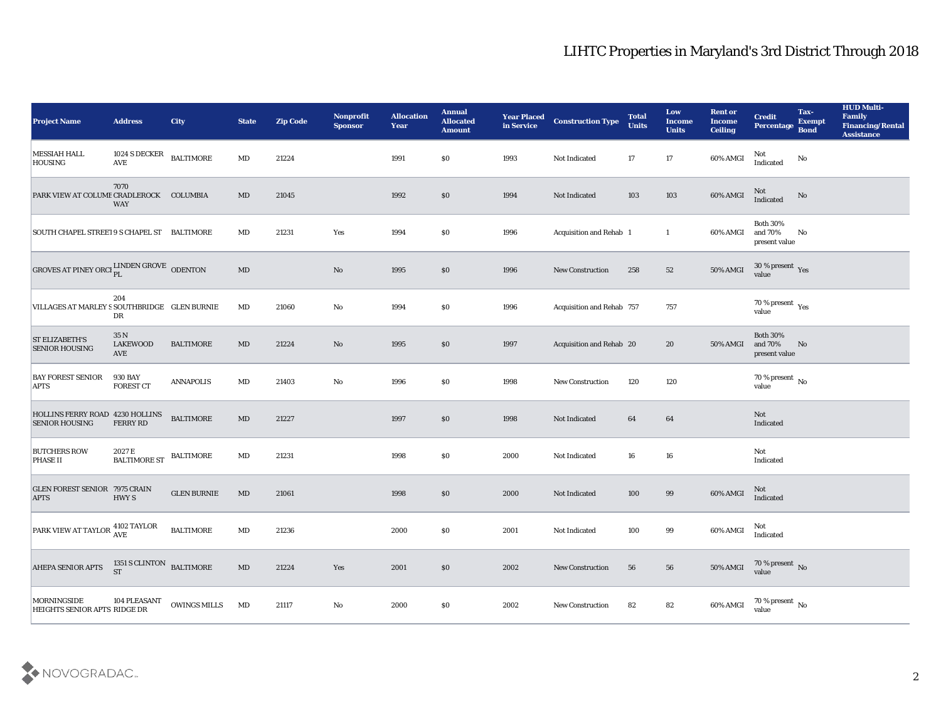| <b>Project Name</b>                                                             | <b>Address</b>                        | <b>City</b>         | <b>State</b>           | <b>Zip Code</b> | Nonprofit<br><b>Sponsor</b> | <b>Allocation</b><br>Year | <b>Annual</b><br><b>Allocated</b><br><b>Amount</b> | <b>Year Placed</b><br>in Service | <b>Construction Type</b>  | <b>Total</b><br><b>Units</b> | Low<br><b>Income</b><br><b>Units</b> | <b>Rent or</b><br><b>Income</b><br><b>Ceiling</b> | <b>Credit</b><br><b>Percentage</b>          | Tax-<br><b>Exempt</b><br><b>Bond</b> | <b>HUD Multi-</b><br>Family<br><b>Financing/Rental</b><br><b>Assistance</b> |
|---------------------------------------------------------------------------------|---------------------------------------|---------------------|------------------------|-----------------|-----------------------------|---------------------------|----------------------------------------------------|----------------------------------|---------------------------|------------------------------|--------------------------------------|---------------------------------------------------|---------------------------------------------|--------------------------------------|-----------------------------------------------------------------------------|
| <b>MESSIAH HALL</b><br><b>HOUSING</b>                                           | 1024 S DECKER<br><b>AVE</b>           | <b>BALTIMORE</b>    | $\mathbf{M}\mathbf{D}$ | 21224           |                             | 1991                      | \$0                                                | 1993                             | Not Indicated             | 17                           | 17                                   | 60% AMGI                                          | Not<br>Indicated                            | No                                   |                                                                             |
| PARK VIEW AT COLUME CRADLEROCK COLUMBIA                                         | 7070<br><b>WAY</b>                    |                     | $\rm MD$               | 21045           |                             | 1992                      | \$0                                                | 1994                             | Not Indicated             | 103                          | 103                                  | 60% AMGI                                          | Not<br>Indicated                            | No                                   |                                                                             |
| SOUTH CHAPEL STREET 9 S CHAPEL ST BALTIMORE                                     |                                       |                     | MD                     | 21231           | Yes                         | 1994                      | \$0                                                | 1996                             | Acquisition and Rehab 1   |                              | -1                                   | 60% AMGI                                          | <b>Both 30%</b><br>and 70%<br>present value | No                                   |                                                                             |
| GROVES AT PINEY ORCHELINDEN GROVE ODENTON                                       |                                       |                     | $\mathbf{M}\mathbf{D}$ |                 | $\rm\thinspace No$          | 1995                      | \$0                                                | 1996                             | <b>New Construction</b>   | 258                          | 52                                   | 50% AMGI                                          | $30\,\%$ present $\,$ Yes value             |                                      |                                                                             |
| VILLAGES AT MARLEY S SOUTHBRIDGE GLEN BURNIE                                    | 204<br>DR                             |                     | MD                     | 21060           | No                          | 1994                      | \$0                                                | 1996                             | Acquisition and Rehab 757 |                              | 757                                  |                                                   | 70 % present $_{\rm Yes}$<br>value          |                                      |                                                                             |
| <b>ST ELIZABETH'S</b><br><b>SENIOR HOUSING</b>                                  | 35 N<br><b>LAKEWOOD</b><br><b>AVE</b> | <b>BALTIMORE</b>    | $\mathbf{M}\mathbf{D}$ | 21224           | No                          | 1995                      | \$0                                                | 1997                             | Acquisition and Rehab 20  |                              | 20                                   | 50% AMGI                                          | <b>Both 30%</b><br>and 70%<br>present value | No                                   |                                                                             |
| <b>BAY FOREST SENIOR</b><br><b>APTS</b>                                         | <b>930 BAY</b><br><b>FOREST CT</b>    | <b>ANNAPOLIS</b>    | MD                     | 21403           | No                          | 1996                      | \$0                                                | 1998                             | <b>New Construction</b>   | 120                          | 120                                  |                                                   | $70\,\%$ present $\,$ No value              |                                      |                                                                             |
| HOLLINS FERRY ROAD 4230 HOLLINS<br><b>SENIOR HOUSING</b>                        | <b>FERRY RD</b>                       | <b>BALTIMORE</b>    | $\mathbf{M}\mathbf{D}$ | 21227           |                             | 1997                      | \$0                                                | 1998                             | Not Indicated             | 64                           | 64                                   |                                                   | Not<br>Indicated                            |                                      |                                                                             |
| <b>BUTCHERS ROW</b><br><b>PHASE II</b>                                          | 2027 E<br><b>BALTIMORE ST</b>         | <b>BALTIMORE</b>    | $\mathbf{M}\mathbf{D}$ | 21231           |                             | 1998                      | \$0                                                | 2000                             | Not Indicated             | 16                           | 16                                   |                                                   | Not<br>Indicated                            |                                      |                                                                             |
| <b>GLEN FOREST SENIOR 7975 CRAIN</b><br><b>APTS</b>                             | HWY S                                 | <b>GLEN BURNIE</b>  | $\mathbf{M}\mathbf{D}$ | 21061           |                             | 1998                      | \$0                                                | 2000                             | Not Indicated             | 100                          | 99                                   | 60% AMGI                                          | Not<br>Indicated                            |                                      |                                                                             |
| $\boxed{\text{PARK VIEW AT TAYLOR}} \, \textcolor{red}{\mathbf{4102\; TAYLOR}}$ |                                       | <b>BALTIMORE</b>    | $\rm MD$               | 21236           |                             | 2000                      | \$0                                                | 2001                             | Not Indicated             | 100                          | 99                                   | 60% AMGI                                          | Not<br>Indicated                            |                                      |                                                                             |
| AHEPA SENIOR APTS                                                               | 1351 S CLINTON BALTIMORE ST           |                     | $\mathbf{M}\mathbf{D}$ | 21224           | Yes                         | 2001                      | \$0                                                | 2002                             | New Construction          | 56                           | 56                                   |                                                   | 50% AMGI 70 % present No                    |                                      |                                                                             |
| MORNINGSIDE<br>HEIGHTS SENIOR APTS RIDGE DR                                     | 104 PLEASANT                          | <b>OWINGS MILLS</b> | MD                     | 21117           | $\mathbf {No}$              | ${\bf 2000}$              | $\$0$                                              | 2002                             | <b>New Construction</b>   | 82                           | 82                                   | 60% AMGI                                          | $70$ % present $\,$ No value                |                                      |                                                                             |

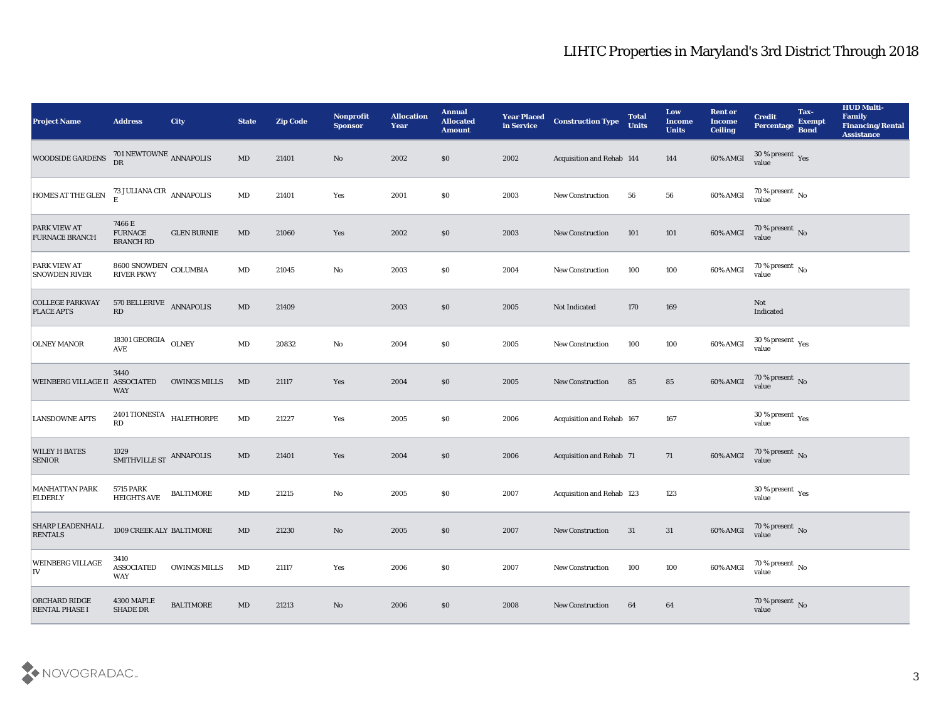| <b>Project Name</b>                           | <b>Address</b>                                       | <b>City</b>         | <b>State</b>           | <b>Zip Code</b> | Nonprofit<br><b>Sponsor</b> | <b>Allocation</b><br><b>Year</b> | <b>Annual</b><br><b>Allocated</b><br><b>Amount</b> | <b>Year Placed</b><br>in Service | <b>Construction Type</b>        | <b>Total</b><br><b>Units</b> | Low<br><b>Income</b><br><b>Units</b> | <b>Rent or</b><br><b>Income</b><br><b>Ceiling</b> | <b>Credit</b><br>Percentage             | Tax-<br><b>Exempt</b><br><b>Bond</b> | <b>HUD Multi-</b><br>Family<br><b>Financing/Rental</b><br><b>Assistance</b> |
|-----------------------------------------------|------------------------------------------------------|---------------------|------------------------|-----------------|-----------------------------|----------------------------------|----------------------------------------------------|----------------------------------|---------------------------------|------------------------------|--------------------------------------|---------------------------------------------------|-----------------------------------------|--------------------------------------|-----------------------------------------------------------------------------|
| WOODSIDE GARDENS                              | $701\,\mathrm{NEWTOWNE}$ ANNAPOLIS DR                |                     | $\rm MD$               | 21401           | No                          | 2002                             | \$0\$                                              | 2002                             | Acquisition and Rehab 144       |                              | 144                                  | 60% AMGI                                          | $30\,\%$ present $\,\mathrm{Yes}$ value |                                      |                                                                             |
| HOMES AT THE GLEN                             | 73 JULIANA CIR $$\sf ANNAPOLIS$$                     |                     | MD                     | 21401           | Yes                         | 2001                             | $\$0$                                              | 2003                             | <b>New Construction</b>         | 56                           | 56                                   | 60% AMGI                                          | $70$ % present $\,$ No $\,$ value       |                                      |                                                                             |
| PARK VIEW AT<br><b>FURNACE BRANCH</b>         | 7466 E<br><b>FURNACE</b><br><b>BRANCH RD</b>         | <b>GLEN BURNIE</b>  | MD                     | 21060           | Yes                         | 2002                             | \$0                                                | 2003                             | New Construction                | 101                          | 101                                  | 60% AMGI                                          | $70$ % present $\,$ No $\,$ value       |                                      |                                                                             |
| PARK VIEW AT<br><b>SNOWDEN RIVER</b>          | $8600$ SNOWDEN $\,$ COLUMBIA RIVER PKWY              |                     | $\mathbf{M}\mathbf{D}$ | 21045           | $\mathbf{N}\mathbf{o}$      | 2003                             | $\$0$                                              | 2004                             | <b>New Construction</b>         | 100                          | 100                                  | 60% AMGI                                          | $70$ % present $\,$ No $\,$ value       |                                      |                                                                             |
| <b>COLLEGE PARKWAY</b><br><b>PLACE APTS</b>   | 570 BELLERIVE ANNAPOLIS<br>RD                        |                     | $\rm MD$               | 21409           |                             | 2003                             | \$0                                                | 2005                             | Not Indicated                   | 170                          | 169                                  |                                                   | Not<br>Indicated                        |                                      |                                                                             |
| <b>OLNEY MANOR</b>                            | 18301 GEORGIA OLNEY<br>$\operatorname{\mathbf{AVE}}$ |                     | $\rm MD$               | 20832           | No                          | 2004                             | \$0                                                | 2005                             | <b>New Construction</b>         | 100                          | 100                                  | 60% AMGI                                          | $30\,\%$ present $\,$ Yes value         |                                      |                                                                             |
| <b>WEINBERG VILLAGE II ASSOCIATED</b>         | 3440<br><b>WAY</b>                                   | <b>OWINGS MILLS</b> | MD                     | 21117           | Yes                         | 2004                             | \$0                                                | 2005                             | New Construction                | 85                           | 85                                   | 60% AMGI                                          | $70$ % present $\,$ No $\,$ value $\,$  |                                      |                                                                             |
| <b>LANSDOWNE APTS</b>                         | 2401 TIONESTA $$\tt HALETHORPE$$<br>RD               |                     | $\mathbf{M}\mathbf{D}$ | 21227           | Yes                         | 2005                             | \$0                                                | 2006                             | Acquisition and Rehab 167       |                              | 167                                  |                                                   | 30 % present $_{\rm Yes}$<br>value      |                                      |                                                                             |
| <b>WILEY H BATES</b><br><b>SENIOR</b>         | 1029<br>SMITHVILLE ST ANNAPOLIS                      |                     | $\mathbf{M}\mathbf{D}$ | 21401           | Yes                         | 2004                             | \$0                                                | 2006                             | <b>Acquisition and Rehab 71</b> |                              | 71                                   | 60% AMGI                                          | $70$ % present $\,$ No $\,$ value       |                                      |                                                                             |
| <b>MANHATTAN PARK</b><br><b>ELDERLY</b>       | <b>5715 PARK</b><br>HEIGHTS AVE                      | <b>BALTIMORE</b>    | MD                     | 21215           | No                          | 2005                             | \$0                                                | 2007                             | Acquisition and Rehab 123       |                              | 123                                  |                                                   | $30\,\%$ present $\,$ Yes value         |                                      |                                                                             |
| <b>SHARP LEADENHALL</b><br><b>RENTALS</b>     | 1009 CREEK ALY BALTIMORE                             |                     | MD                     | 21230           | No                          | 2005                             | \$0                                                | 2007                             | <b>New Construction</b>         | 31                           | 31                                   | 60% AMGI                                          | $70$ % present $\,$ No $\,$ value       |                                      |                                                                             |
| <b>WEINBERG VILLAGE</b><br>IV                 | 3410<br><b>ASSOCIATED</b><br>WAY                     | <b>OWINGS MILLS</b> | MD                     | 21117           | Yes                         | 2006                             | $\$0$                                              | 2007                             | New Construction                | 100                          | 100                                  | 60% AMGI                                          | $70$ % present $\,$ No $\,$ value       |                                      |                                                                             |
| <b>ORCHARD RIDGE</b><br><b>RENTAL PHASE I</b> | 4300 MAPLE<br>SHADE DR                               | <b>BALTIMORE</b>    | $\mathbf{M}\mathbf{D}$ | 21213           | $\rm\thinspace No$          | 2006                             | \$0                                                | 2008                             | <b>New Construction</b>         | 64                           | 64                                   |                                                   | $70\,\%$ present $\,$ No value          |                                      |                                                                             |

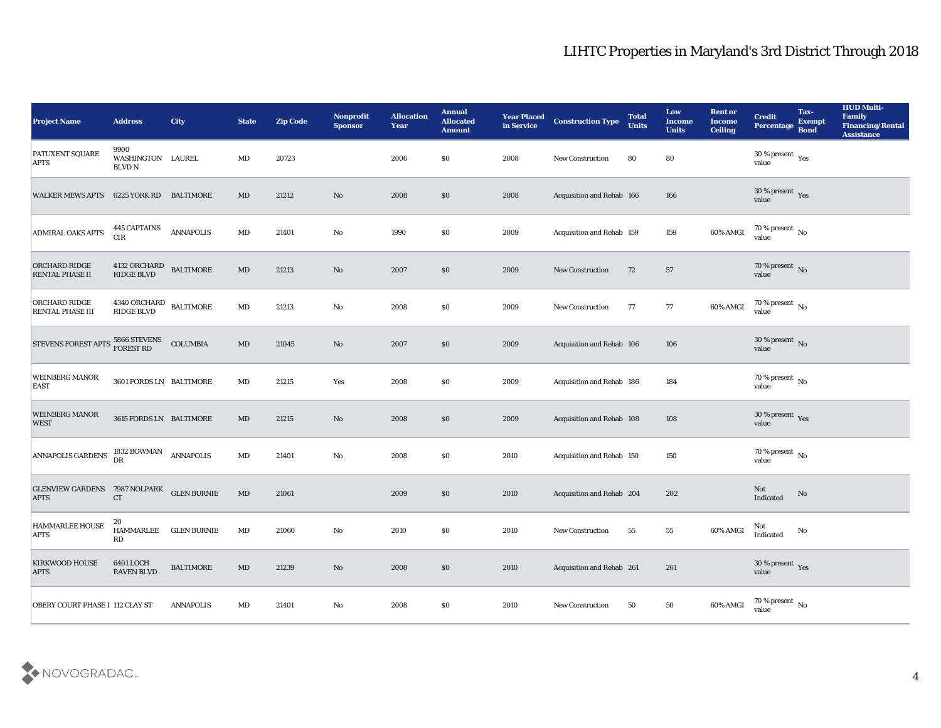## LIHTC Properties in Maryland's 3rd District Through 2018

| <b>Project Name</b>                                 | <b>Address</b>                                    | <b>City</b>              | <b>State</b>           | <b>Zip Code</b> | Nonprofit<br><b>Sponsor</b> | <b>Allocation</b><br><b>Year</b> | <b>Annual</b><br><b>Allocated</b><br><b>Amount</b> | <b>Year Placed</b><br>in Service | <b>Construction Type</b>  | <b>Total</b><br><b>Units</b> | Low<br><b>Income</b><br><b>Units</b> | <b>Rent or</b><br><b>Income</b><br><b>Ceiling</b> | <b>Credit</b><br>Percentage        | Tax-<br><b>Exempt</b><br><b>Bond</b> | <b>HUD Multi-</b><br>Family<br><b>Financing/Rental</b><br><b>Assistance</b> |
|-----------------------------------------------------|---------------------------------------------------|--------------------------|------------------------|-----------------|-----------------------------|----------------------------------|----------------------------------------------------|----------------------------------|---------------------------|------------------------------|--------------------------------------|---------------------------------------------------|------------------------------------|--------------------------------------|-----------------------------------------------------------------------------|
| PATUXENT SQUARE<br><b>APTS</b>                      | 9900<br>WASHINGTON LAUREL<br><b>BLVD N</b>        |                          | MD                     | 20723           |                             | 2006                             | \$0                                                | 2008                             | New Construction          | 80                           | 80                                   |                                                   | 30 % present $_{\rm Yes}$<br>value |                                      |                                                                             |
| <b>WALKER MEWS APTS</b>                             | 6225 YORK RD                                      | BALTIMORE                | MD                     | 21212           | No                          | 2008                             | \$0                                                | 2008                             | Acquisition and Rehab 166 |                              | 166                                  |                                                   | 30 % present $_{\rm Yes}$<br>value |                                      |                                                                             |
| <b>ADMIRAL OAKS APTS</b>                            | <b>445 CAPTAINS</b><br><b>CIR</b>                 | <b>ANNAPOLIS</b>         | MD                     | 21401           | No                          | 1990                             | \$0                                                | 2009                             | Acquisition and Rehab 159 |                              | 159                                  | 60% AMGI                                          | $70\,\%$ present $\,$ No value     |                                      |                                                                             |
| ORCHARD RIDGE<br><b>RENTAL PHASE II</b>             | 4132 ORCHARD<br>$\mathop{\rm RIDE}\nolimits$ BLVD | <b>BALTIMORE</b>         | MD                     | 21213           | No                          | 2007                             | \$0                                                | 2009                             | New Construction          | 72                           | 57                                   |                                                   | $70\,\%$ present $\,$ No value     |                                      |                                                                             |
| ORCHARD RIDGE<br><b>RENTAL PHASE III</b>            | 4340 ORCHARD<br>RIDGE BLVD                        | <b>BALTIMORE</b>         | MD                     | 21213           | No                          | 2008                             | \$0                                                | 2009                             | <b>New Construction</b>   | 77                           | 77                                   | 60% AMGI                                          | $70\,\%$ present $\,$ No value     |                                      |                                                                             |
| STEVENS FOREST APTS 5866 STEVENS                    |                                                   | COLUMBIA                 | MD                     | 21045           | No                          | 2007                             | \$0                                                | 2009                             | Acquisition and Rehab 106 |                              | 106                                  |                                                   | $30\,\%$ present $\,$ No value     |                                      |                                                                             |
| <b>WEINBERG MANOR</b><br><b>EAST</b>                | 3601 FORDS LN BALTIMORE                           |                          | MD                     | 21215           | Yes                         | 2008                             | $\$0$                                              | 2009                             | Acquisition and Rehab 186 |                              | 184                                  |                                                   | $70\,\%$ present $\,$ No value     |                                      |                                                                             |
| <b>WEINBERG MANOR</b><br><b>WEST</b>                | 3615 FORDS LN BALTIMORE                           |                          | MD                     | 21215           | No                          | 2008                             | \$0                                                | 2009                             | Acquisition and Rehab 108 |                              | 108                                  |                                                   | $30\,\%$ present $\,$ Yes value    |                                      |                                                                             |
| <b>ANNAPOLIS GARDENS</b>                            | 1832 BOWMAN<br>DR                                 | <b>ANNAPOLIS</b>         | MD                     | 21401           | No                          | 2008                             | \$0                                                | 2010                             | Acquisition and Rehab 150 |                              | 150                                  |                                                   | 70 % present $\,$ No $\,$<br>value |                                      |                                                                             |
| <b>GLENVIEW GARDENS 7987 NOLPARK</b><br><b>APTS</b> | CT                                                | <b>GLEN BURNIE</b>       | $\mathbf{M}\mathbf{D}$ | 21061           |                             | 2009                             | \$0                                                | 2010                             | Acquisition and Rehab 204 |                              | 202                                  |                                                   | Not<br>Indicated                   | No                                   |                                                                             |
| <b>HAMMARLEE HOUSE</b><br><b>APTS</b>               | 20<br>HAMMARLEE<br>$\mathbf{R}\mathbf{D}$         | <b>GLEN BURNIE</b>       | MD                     | 21060           | No                          | 2010                             | \$0                                                | 2010                             | <b>New Construction</b>   | 55                           | 55                                   | 60% AMGI                                          | Not<br>Indicated                   | No                                   |                                                                             |
| <b>KIRKWOOD HOUSE</b><br><b>APTS</b>                | 6401 LOCH<br>RAVEN BLVD                           | $\operatorname{BALTIME}$ | $\mathbf{M}\mathbf{D}$ | 21239           | $\mathbf {No}$              | 2008                             | $\$0$                                              | 2010                             | Acquisition and Rehab 261 |                              | 261                                  |                                                   | $30\,\%$ present $\,$ Yes value    |                                      |                                                                             |
| OBERY COURT PHASE I 112 CLAY ST                     |                                                   | <b>ANNAPOLIS</b>         | $\mathbf{M}\mathbf{D}$ | 21401           | $\mathbf {No}$              | 2008                             | \$0                                                | 2010                             | New Construction          | 50                           | $50\,$                               | 60% AMGI                                          | 70 % present $\,$ No $\,$<br>value |                                      |                                                                             |

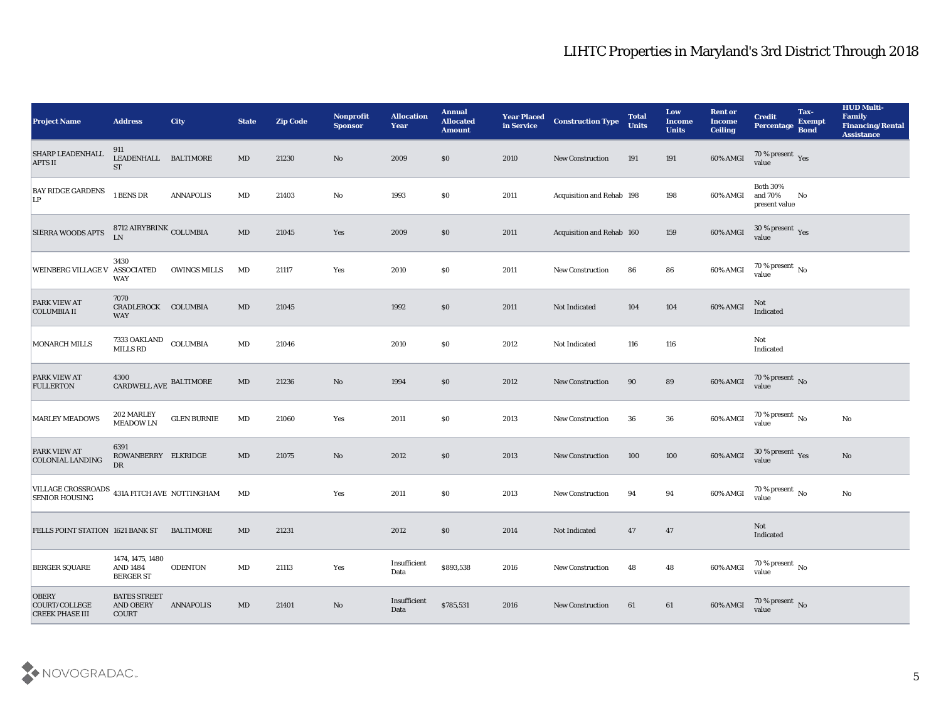| <b>Project Name</b>                                                   | <b>Address</b>                                          | <b>City</b>         | <b>State</b>           | <b>Zip Code</b> | Nonprofit<br><b>Sponsor</b> | <b>Allocation</b><br><b>Year</b> | <b>Annual</b><br><b>Allocated</b><br><b>Amount</b> | <b>Year Placed</b><br>in Service | <b>Construction Type</b>  | <b>Total</b><br><b>Units</b> | Low<br><b>Income</b><br><b>Units</b> | <b>Rent or</b><br><b>Income</b><br><b>Ceiling</b> | <b>Credit</b><br>Percentage                 | Tax-<br><b>Exempt</b><br><b>Bond</b> | <b>HUD Multi-</b><br>Family<br><b>Financing/Rental</b><br><b>Assistance</b> |
|-----------------------------------------------------------------------|---------------------------------------------------------|---------------------|------------------------|-----------------|-----------------------------|----------------------------------|----------------------------------------------------|----------------------------------|---------------------------|------------------------------|--------------------------------------|---------------------------------------------------|---------------------------------------------|--------------------------------------|-----------------------------------------------------------------------------|
| SHARP LEADENHALL<br><b>APTS II</b>                                    | 911<br>LEADENHALL BALTIMORE<br><b>ST</b>                |                     | $\mathbf{M}\mathbf{D}$ | 21230           | No                          | 2009                             | \$0                                                | 2010                             | <b>New Construction</b>   | 191                          | 191                                  | 60% AMGI                                          | $70\,\%$ present $\,$ Yes value             |                                      |                                                                             |
| <b>BAY RIDGE GARDENS</b><br>LP                                        | 1 BENS DR                                               | <b>ANNAPOLIS</b>    | MD                     | 21403           | No                          | 1993                             | \$0                                                | 2011                             | Acquisition and Rehab 198 |                              | 198                                  | 60% AMGI                                          | <b>Both 30%</b><br>and 70%<br>present value | No                                   |                                                                             |
| <b>SIERRA WOODS APTS</b>                                              | 8712 AIRYBRINK COLUMBIA<br><b>LN</b>                    |                     | $\mathbf{M}\mathbf{D}$ | 21045           | Yes                         | 2009                             | \$0                                                | 2011                             | Acquisition and Rehab 160 |                              | 159                                  | 60% AMGI                                          | $30\,\%$ present $\,$ Yes value             |                                      |                                                                             |
| <b>WEINBERG VILLAGE V</b>                                             | 3430<br><b>ASSOCIATED</b><br>WAY                        | <b>OWINGS MILLS</b> | MD                     | 21117           | Yes                         | 2010                             | \$0                                                | 2011                             | <b>New Construction</b>   | 86                           | 86                                   | 60% AMGI                                          | $70$ % present $\,$ No $\,$ value           |                                      |                                                                             |
| <b>PARK VIEW AT</b><br><b>COLUMBIA II</b>                             | 7070<br>CRADLEROCK COLUMBIA<br><b>WAY</b>               |                     | MD                     | 21045           |                             | 1992                             | \$0                                                | 2011                             | Not Indicated             | 104                          | 104                                  | 60% AMGI                                          | Not<br>Indicated                            |                                      |                                                                             |
| MONARCH MILLS                                                         | $7333$ OAKLAND $\quad$ COLUMBIA MILLS ${\rm RD}$        |                     | MD                     | 21046           |                             | 2010                             | \$0                                                | 2012                             | Not Indicated             | 116                          | 116                                  |                                                   | Not<br>Indicated                            |                                      |                                                                             |
| PARK VIEW AT<br><b>FULLERTON</b>                                      | $4300$ $\,$ CARDWELL AVE $\,$ BALTIMORE                 |                     | $\mathbf{M}\mathbf{D}$ | 21236           | No                          | 1994                             | \$0                                                | 2012                             | New Construction          | 90                           | 89                                   | $60\%$ AMGI                                       | $70$ % present $\,$ No $\,$ value $\,$      |                                      |                                                                             |
| <b>MARLEY MEADOWS</b>                                                 | 202 MARLEY<br><b>MEADOW LN</b>                          | ${\tt GLEN}$ BURNIE | MD                     | 21060           | Yes                         | 2011                             | \$0                                                | 2013                             | <b>New Construction</b>   | 36                           | 36                                   | 60% AMGI                                          | 70 % present $\,$ No $\,$<br>value          |                                      | No                                                                          |
| PARK VIEW AT<br><b>COLONIAL LANDING</b>                               | 6391<br>ROWANBERRY ELKRIDGE<br>DR                       |                     | $\mathbf{M}\mathbf{D}$ | 21075           | No                          | 2012                             | \$0                                                | 2013                             | <b>New Construction</b>   | 100                          | 100                                  | 60% AMGI                                          | $30\,\%$ present $\,$ Yes value             |                                      | No                                                                          |
| VILLAGE CROSSROADS 431A FITCH AVE NOTTINGHAM<br><b>SENIOR HOUSING</b> |                                                         |                     | MD                     |                 | Yes                         | 2011                             | \$0                                                | 2013                             | <b>New Construction</b>   | 94                           | 94                                   | 60% AMGI                                          | $70$ % present $\,$ No $\,$ value           |                                      | $\mathbf{N}\mathbf{o}$                                                      |
| <b>FELLS POINT STATION 1621 BANK ST</b>                               |                                                         | <b>BALTIMORE</b>    | MD                     | 21231           |                             | 2012                             | \$0                                                | 2014                             | Not Indicated             | 47                           | 47                                   |                                                   | Not<br>Indicated                            |                                      |                                                                             |
| <b>BERGER SQUARE</b>                                                  | 1474, 1475, 1480<br><b>AND 1484</b><br><b>BERGER ST</b> | <b>ODENTON</b>      | MD                     | 21113           | Yes                         | Insufficient<br>Data             | \$893,538                                          | 2016                             | New Construction          | 48                           | 48                                   | 60% AMGI                                          | 70 % present $\,$ No $\,$<br>value          |                                      |                                                                             |
| <b>OBERY</b><br>COURT/COLLEGE<br><b>CREEK PHASE III</b>               | <b>BATES STREET</b><br><b>AND OBERY</b><br>COURT        | <b>ANNAPOLIS</b>    | MD                     | 21401           | No                          | Insufficient<br>Data             | \$785,531                                          | 2016                             | New Construction          | 61                           | 61                                   | 60% AMGI                                          | 70 % present No<br>value                    |                                      |                                                                             |